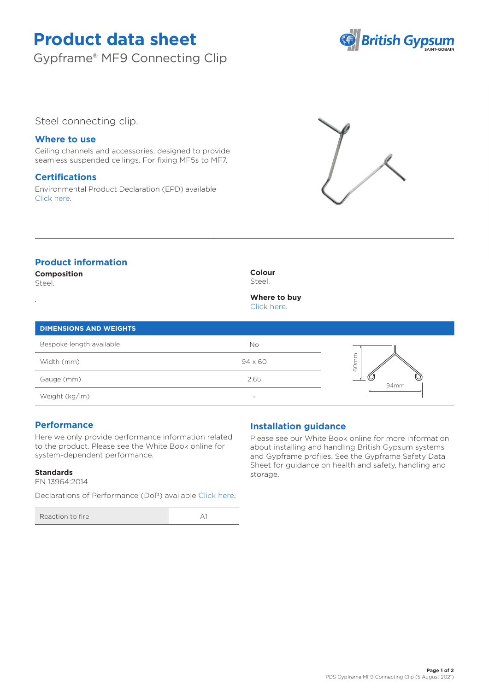# **Product data sheet**

Gypframe® MF9 Connecting Clip



# Steel connecting clip.

## **Where to use**

Ceiling channels and accessories, designed to provide seamless suspended ceilings. For fixing MF5s to MF7.

## **Certifications**

Environmental Product Declaration (EPD) available [Click here.](https://www.british-gypsum.com/EPD)



# **Product information**

**Composition** Steel.

.

#### **Colour** Steel.

**Where to buy** [Click here.](https://www.british-gypsum.com/stockist-locator)

## **DIMENSIONS AND WEIGHTS**

| Bespoke length available | No                       |           |
|--------------------------|--------------------------|-----------|
| Width (mm)               | $94 \times 60$           | ୪         |
| Gauge (mm)               | 2.65                     | ب<br>94mm |
| Weight (kg/lm)           | $\overline{\phantom{0}}$ |           |

## **Performance**

Here we only provide performance information related to the product. Please see the White Book online for system-dependent performance.

### **Standards**

EN 13964:2014

Declarations of Performance (DoP) available [Click here](https://www.british-gypsum.com/DoP).

| Reaction to fire |  |
|------------------|--|
|------------------|--|

# **Installation guidance**

Please see our White Book online for more information about installing and handling British Gypsum systems and Gypframe profiles. See the Gypframe Safety Data Sheet for guidance on health and safety, handling and storage.